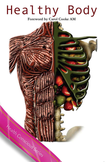# Healthy Body

Foreword by Carol Cooke AM

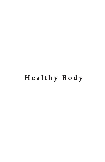## **Healthy Body**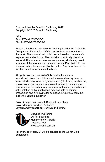First published by Busybird Publishing 2017 Copyright © 2017 Busybird Publishing

ISBN Print: 978-1-925585-57-5 Ebook: 978-1-925585-58-2

Busybird Publishing has asserted their right under the Copyright, Designs and Patents Act 1988 to be identified as the author of this work. The information in this book is based on the author's experiences and opinions. The publisher specifically disclaims responsibility for any adverse consequences, which may result from use of the information contained herein. Permission to use information has been sought by the author. Any breaches will be rectified in further editions of the book.

All rights reserved. No part of this publication may be reproduced, stored in or introduced into a retrieval system, or transmitted in any form, or by any means (electronic, mechanical, photocopying, recording or otherwise) without the prior written permission of the author. Any person who does any unauthorised act in relation to this publication may be liable to criminal prosecution and civil claims for damages. Enquiries should be made through the publisher.

**Cover image**: Kev Howlett, Busybird Publishing **Cover design:** Busybird Publishing **Layout and typesetting**: Busybird Publishing



Busybird Publishing 2/118 Para Road Montmorency, Victoria Australia 3094 www.busybird.com.au

For every book sold, \$1 will be donated to the Go for Gold Scholarship.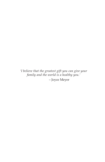*'I believe that the greatest gift you can give your family and the world is a healthy you.'* – Joyce Meyer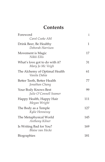## **Contents**

| Foreword<br>Carol Cooke AM                         | i   |
|----------------------------------------------------|-----|
| Drink Beer, Be Healthy<br>Deborah Harrison         | 1   |
| Movement is Magic<br>Nikki Ellis                   | 17  |
| What's love got to do with it?<br>Mary Jo Mc Veigh | 31  |
| The Alchemy of Optimal Health<br>Vanita Dahia      | 61  |
| Better Teeth, Better Health<br>Jonathan Chang      | 77  |
| Your Body Knows Best<br>Julie O'Connell Seamer     | 99  |
| Happy Health, Happy Hair<br>Megan Wright           | 111 |
| The Body as a Temple<br>Kylie Hennessy             | 127 |
| The Metaphysical World<br>Anthony Kilner           | 145 |
| Is Writing Bad for You?<br>Blaise van Hecke        | 169 |
| Biographies                                        | 181 |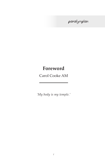### paralympian

## **Foreword**

Carol Cooke AM

*'My body is my temple.'*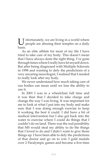U nfortunately, we are living in a world where people are abusing their temples on a daily basis.

As an elite athlete for most of my life I have tried to take care of my body. This doesn't mean that I have always done the right thing. I've gone through times where I really have let myself down. But after being diagnosed with Multiple Sclerosis in 1998 and wanting to defy the predictions of a very uncaring neurologist, I realised that I needed to really look after my body.

We never understand how much taking care of our bodies can mean until we lose the ability to use it.

In 2001 I was in a wheelchair full time and it was then that I decided to take charge and change the way I was living. It was important for me to look at what I put into my body and make sure that I was doing enough exercise to keep it working the best it could. I did have a bit of medical intervention but I also got back into the water to exercise where I could do things that I couldn't do on land. There was the real possibility that MS would steal my ability to do the things that I loved to do and I didn't want to give those things up. I have been able to defy the predictions of that doctor and go on to win 3 gold medals over 2 Paralympic games and become a five-time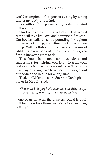world champion in the sport of cycling by taking care of my body and mind.

For without taking care of my body, the mind will not follow.

Our bodies are amazing vessels that, if treated right, will give life, love and happiness for years. Our bodies really do take a pounding throughout our years of living, sometimes not of our own doing. With pollution on the rise and the use of additives to our foods, at times we can be forgiven for not knowing what to do.

This book has some fabulous ideas and suggestions for helping you learn to treat your body as the temple it was meant to be. This isn't a new way of living – we have been thinking about our bodies and health for a long time.

Thales of Miletus – a pre-Socratic Greek philosopher in 546BC – said:

 *'What man is happy? He who has a healthy body, a resourceful mind, and a docile nature.'*

None of us have all the answers, but this book will help you take those first steps to a healthier, better you.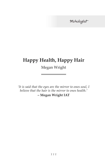Trichologist

## **Happy Health, Happy Hair**

Megan Wright

the control of the control of the control of the control of the control of

*'It is said that the eyes are the mirror to ones soul, I believe that the hair is the mirror to ones health.'* **– Megan Wright IAT**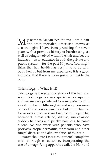M y name is Megan Wright and I am a hair and scalp specialist, otherwise known as a trichologist. I have been practising for seven years with a previous history of hairdressing, as well as being involved within the hair and beauty industry – as an educator in both the private and public system – for the past 30 years. You might think that hair health has very little to do with body health, but from my experience it is a good indicator that there is more going on inside the body.

#### **Trichology ... What is It?**

Trichology is the scientific study of the hair and scalp. Trichology is a very specialised occupation and we are very privileged to assist patients with a vast number of differing hair and scalp concerns. Some of these concerns include, but are not limited to: various alopecias (hair loss) including genetic, hormonal, stress related, diffuse, unexplained sudden hair loss and patchy hair loss, to name a few. We also work with patients who have psoriasis; atopic dermatitis; ringworm and other fungal diseases and abnormalities of the scalp.

As a trichologist, I assess the patient's complaint with thorough consultation, incorporating the use of a magnifying apparatus called a Hair and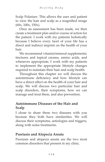Scalp Polariser. This allows the user and patient to view the hair and scalp as a magnified image (60x, 100x, 150x).

Once an assessment has been made, we then create a treatment plan and/or course of action for the patient. I work with my patients holistically because I believe every facet of your life has a direct and indirect imprint on the health of your hair.

We recommend vitamin/mineral supplements; tinctures and topical creams, amino acids, and whenever appropriate, I work with my patients to implement the appropriate lifestyle changes required to maintain their hair and scalp health.

Throughout this chapter we will discuss the autoimmune deficiency and how lifestyle can have a direct effect on the health of your hair and scalp. We will discuss two particular hair and scalp disorders, their symptoms, how we can manage and treat them, and also prevention.

#### **Autoimmune Diseases of the Hair and Scalp**

I chose to share these two diseases with you because they both have similarities. We will discuss their symptoms, aetiologies and triggers, along with some treatments.

#### **Psoriasis and Alopecia Areata**

Psoriasis and alopecia areata are the two most common disorders that present in my clinic.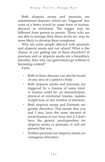Both alopecia areata and psoriasis are autoimmune diseases, which are 'triggered' (for want of a better word) by some form of trauma, physical or emotional. The trigger may be different from person to person. Those who are not able to manage their stress levels etc. may be more likely to develop these symptoms.

Why are some people affected with psoriasis and alopecia areata and not others? What is the chance of you getting one of these disorders? If psoriasis and or alopecia areata are a hereditary disorder, then why can generations go without it becoming evident?

Facts:

- Both of these diseases can also be found on any area of a patient's body.
- Both alopecia areata and psoriasis are triggered by a trauma of some kind. A trauma could be: an immunisation, physical or emotional trauma, sudden weight loss, or any number of stressors.
- Both alopecia areata and Psoriasis are genetic disorders. This means that you and I may have the same amount of stress/trauma in our lives, but if I don't have the genetic predisposition for alopecia areata or psoriasis, it will not present that way.
- Neither psoriasis nor alopecia areata are contagious disorders.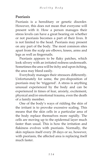#### **Psoriasis**

Psoriasis is a hereditary or genetic disorder. However, this does not mean that everyone will present with it. How a person manages their stress levels can have a great bearing on whether or not psoriasis becomes a part of their lives. It is not limited to the head. Psoriasis may present on any part of the body. The most common sites apart from the scalp are elbows, knees, arms and legs as well as fingernails.

Psoriasis appears to be flaky patches, which look silvery with an irritated redness underneath. Sometimes the area will be itchy and upon itching, the area may bleed easily.

Everybody manages their stressors differently. Unfortunately for some, the pre-disposition of psoriasis may be 'triggered'. A stress is anything unusual experienced by the body and can be experienced in times of fear, anxiety, excitement, physical and/or emotional trauma, even the death of a family member.

One of the body's ways of ridding the skin of the irritant is to provoke excessive scaling. This means that the skin cells in a particular area of the body replace themselves more rapidly. The cells are moving up to the epidermal layer much faster than usual. This is how the irritation and flakiness evolves with psoriasis. Normally, the skin replaces itself every 28 days or so, however, with psoriasis, the affected area is replacing itself much faster.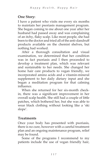#### **One Story:**

I have a patient who visits me every six months to maintain her psoriasis management program. She began coming to me about one year after her husband had passed away and was complaining of an itchy, flaky scalp. Like most people, she had been to the doctor and tried all of the anti-dandruff products available on the chemist shelves, but nothing had worked.

After a thorough consultation and visual examination, we determined that her condition was in fact psoriasis and I then proceeded to develop a treatment plan, which was relevant and sustainable to her needs. She changed her home hair care products to vegan friendly, we incorporated amino acids and a vitamin-mineral supplement to her daily dietary input and she began a meditation program for that calming influence.

When she returned for her six-month checkin, there was a significant improvement in her overall scalp health. She still had a couple of little patches, which bothered her, but she was able to wear black clothing without looking like a 'ski slope'.

#### **Treatments**

Once your body has presented with psoriasis, there is no cure, however with a careful treatment plan and an ongoing maintenance program, relief may be found.

Some of the programs I recommend to my patients include the use of vegan friendly hair,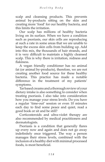scalp and cleansing products. This prevents animal by-products sitting on the skin and creating more 'food' for our healthy bacteria, and this limits the irritation.

Our scalp has millions of healthy bacteria living on its surface. When we have a condition such as psoriasis, our skin cells are reproducing at such a rate in some areas that we are unable to keep the excess skin cells from building up. Add into this mix, the thousands of hair strands, and it is very difficult to maintain a highly cleansed scalp. This is why there is irritation, redness and flakiness.

A vegan friendly conditioner has no animal fat (or animal by-products), therefore, we are not creating another food source for these healthy bacteria. This practice has made a notable difference in the treatment of my patients' symptoms.

Tar based creams and a thorough review of your dietary intake is also something to consider when treating psoriasis. I also take into consideration how you manage your stress levels. Do you have a regular 'time-out' session or even 10 minutes each day to find some peace and quiet, read a good book or sit and be still?

Corticosteroids and ultra-violet therapy are also recommended by medical practitioners and dermatologists.

Psoriasis is a condition that generally flares up every now and again and does not go away indefinitely once triggered. The way a person manages their stress levels, combined with the inclusion of a healthy diet with minimal processed foods, is most beneficial.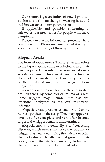Quite often I get an influx of new Pphis can be due to the climate changes, wearing hats, and sudden variables in temperatures etc.

If applicable and possible, swimming in salt water is a great relief for people with these symptoms.

Please note that the information presented here is a guide only. Please seek medical advice if you are suffering from any of these symptoms.

#### **Alopecia Areata**

The term Alopecia means 'hair loss'. Areata refers to the type, specific name or affected area of hair loss the patient presents. Like psoriasis, alopecia Areata is a genetic disorder. Again, this disorder does not necessarily present in every member of the family; it may even miss generations altogether.

As mentioned before, both of these disorders are 'triggered' by some sort of trauma or stress. Some triggers may include immunisations, emotional or physical trauma, viral or bacterial infection.

Alopecia areata presents as small round shiny hairless patches on the scalp. They may appear as small as a five cent piece and very often become larger if the trigger remains undetermined.

Alopecia areata is generally a self-correcting disorder, which means that once the 'trauma' or 'trigger' has been dealt with, the hair more often than not returns. Usually the first growth of hair is very fine white hair, but generally, the hair will thicken up and return to its original colour.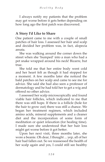I always notify my patients that the problem may get worse before it gets better depending on how long ago the first patch was discovered.

#### **A Story I'd Like to Share**

One patient came to me with a couple of small patches of hair loss. I assessed her hair and scalp and decided her problem was, in fact, alopecia areata.

She was walking around the corner down the street when she 'bumped' into a man who had a pet snake wrapped around his neck! Bizarre, but true.

She told me that her entire body went cold and her heart felt as though it had stopped for a moment. A few months later she noticed the bald patches on her scalp and came to see me for advice. She said she had also seen a professor of dermatology and he had told her to get a wig and offered no other advice.

I assessed her scalp microscopically and found viable hair follicles, which indicated to me that there was still hope. If there is a follicle (hole for the hair to grow out) there was still a chance. We began her treatment regimen, which included amino acids, mineral supplements and a cleaner diet and the incorporation of some form of meditation or quiet relaxation (for healing time). I made sure she understood that her hair loss might get worse before it got better.

Upon her next visit, three months later, she wore a beanie. Oh dear, I thought ... yep, all of her hair had fallen out. So we reassessed the health of her scalp again and yes, I could still see healthy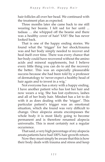hair follicles all over her head. We continued with the treatment plan as expected.

Three months later she came back to me still wearing her beanie. I felt sad for her until ... tadaaa … she whipped off the beanie and there was a healthy cover of hair! YAY! She has never looked back.

That is one of the happy ending stories. We found what the 'trigger' for her shock/trauma was and her body simply needed to recover and heal itself over time. There was every chance that her body could have recovered without the amino acids and mineral supplements, but I believe every little thing you can do to aid the recovery the better. This was an especially pleasurable success because she had been told by a professor of dermatology to 'never expect a healthy head of hair again and to invest in a wig.'

Not everyone has a story with a happy ending. I have another patient who has lost her hair and now wears a wig. She has lost eyebrows, lashes and all of her body hair. Mindset has a lot to do with it as does dealing with the 'trigger'. This particular patient's trigger was an emotional situation, which she found was very difficult to change. Once alopecia areata encompasses the whole body it is most likely going to become permanent and is therefore renamed alopecia universalis. This is most certainly not a regular occurrence.

That said, a very high percentage of my alopecia areata patients have had 100% hair growth return.

Now they must simply be aware that this is how their body deals with trauma and stress and keep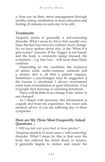a close eye on their stress management through healthy eating, meditation or deep relaxation and finding 10 minutes in each day to be still.

#### **Treatments**

Alopecia areata is generally a self-correcting disorder. What I mean by this is that usually over time, the hair loss recovers without much change. As we have spoken about also, is the 'What if it gets worse?' scenario. If the 'trigger' is not found, and the body is constantly being stressed, the symptoms – e.g. hair loss – will more than likely continue.

Depending on the condition, the inclusion of amino acids, multi-vitamins, minerals and a cleaner diet is all that a patient requires. Sometimes a psychologist may be suggested if the trauma is emotional. I always recommend some form of meditation or quiet relaxation. A lot of people find drawing or colouring beneficial.

There will be little to no change if the 'stress' is not changed.

As I stated with psoriasis, this information is a guide and from my experience. You must seek medical advice if you are suffering any of these symptoms.

#### **Here are My Three Most Frequently Asked Questions ...**

#### *1. Will my hair ever grow back in those patches?*

Alopecia areata is in most cases a 'self-correcting' disorder. What I mean by this is that once the body has suffered the initial shock or trauma, it generally begins to restore and repair the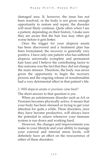damaged area. If, however, the issue has not been resolved, or the body is not given enough opportunity to restore and repair, the disorder will most likely continue. Quite often when I see a patient, depending on their history, I make sure they are aware that the hair loss may often get worse before it gets better.

Once the trigger for your alopecia areata has been discovered and a treatment plan has been formulated, the recovery is generally very positive. I have only one patient who has suffered alopecia universalis (complete and permanent hair loss) and I believe the contributing factor to this outcome was the fact that they did not change the main stressor. Therefore, the body was never given the opportunity to begin the recovery process and the ongoing release of noradrenaline had a very detrimental effect in that patient's life.

#### *2. Will alopecia areata or psoriasis come back?*

The short answer to that question is yes.

When an autoimmune disorder such as AA or Psoriasis becomes physically active, it means that your body has been stressed or trying to get your attention for quite a while. These disorders, once they have become productive, will always have the potential to return whenever your immune system is run down and working hard.

However, the changes and improvements you make in your lifestyle and your ability to manage your external and internal stress levels, will definitely have an effect on the reoccurrence of either of these disorders.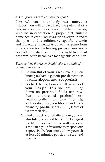#### *3. Will psoriasis ever go away for good?*

Like AA, once your body has suffered a 'trigger' you will always have the potential of a reoccurrence. Psoriasis is not curable. However, with the incorporation of proper diet, suitable home health care products such as vegan-friendly shampoos and conditioners, specific vitamin and mineral supplements as well as some form of relaxation for the healing process, psoriasis is very often treatable and with the right treatment program, often becomes a manageable condition.

*Three actions the reader should take as a result of reading this chapter:*

- 1. Be mindful of your stress levels if you know you have a genetic pre-disposition to either alopecia areata or psoriasis.
- 2. Go back to the basics in all aspects of your lifestyle. This includes cutting down on processed foods (eat raw, fresh, unprocessed produce); use vegan-friendly healthcare products, such as shampoo, conditioner and body cleansing products; drink 6–8 glasses of water each day.
- 3. Find at least one activity where you can absolutely stop and feel calm. I suggest meditation or meditative walking, even sitting in a your favourite cosy spot with a good book. You must allow yourself at least 10 minutes per day to stop and breathe.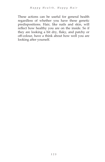These actions can be useful for general health regardless of whether you have these genetic predispositions. Hair, like nails and skin, will reflect how healthy you are on the inside. So if they are looking a bit dry, flaky, and patchy or off-colour, have a think about how well you are looking after yourself.